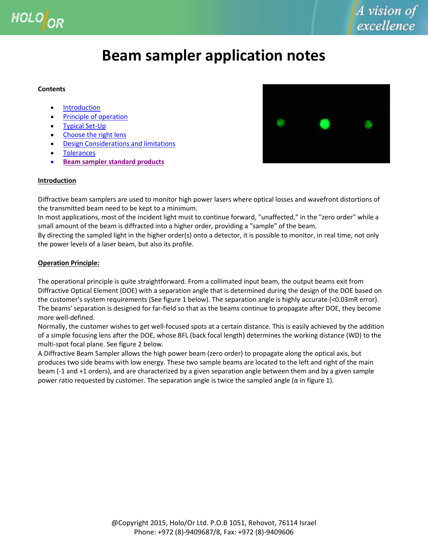

# **Beam sampler application notes**

#### **Contents**

- [Introduction](#page-0-0)
- Principle of operation
- [Typical Set-Up](#page-1-0)
- [Choose the right lens](#page-2-0)
- **[Design Considerations and limitations](#page-2-1)**
- **[Tolerances](#page-2-2)**
- **[Beam sampler standard products](http://www.holoor.com/Diffractive_Optics_Products/Diffractive_Beam_Sampler/BeamSampler.htm)**



## <span id="page-0-0"></span>**Introduction**

Diffractive beam samplers are used to monitor high power lasers where optical losses and wavefront distortions of the transmitted beam need to be kept to a minimum.

In most applications, most of the incident light must to continue forward, "unaffected," in the "zero order" while a small amount of the beam is diffracted into a higher order, providing a "sample" of the beam.

By directing the sampled light in the higher order(s) onto a detector, it is possible to monitor, in real time, not only the power levels of a laser beam, but also its profile.

## <span id="page-0-1"></span>**Operation Principle:**

The operational principle is quite straightforward. From a collimated input beam, the output beams exit from Diffractive Optical Element (DOE) with a separation angle that is determined during the design of the DOE based on the customer's system requirements (See figure 1 below). The separation angle is highly accurate (<0.03mR error). The beams' separation is designed for far-field so that as the beams continue to propagate after DOE, they become more well-defined.

Normally, the customer wishes to get well-focused spots at a certain distance. This is easily achieved by the addition of a simple focusing lens after the DOE, whose BFL (back focal length) determines the working distance (WD) to the multi-spot focal plane. See figure 2 below.

A Diffractive Beam Sampler allows the high power beam (zero order) to propagate along the optical axis, but produces two side beams with low energy. These two sample beams are located to the left and right of the main beam (-1 and +1 orders), and are characterized by a given separation angle between them and by a given sample power ratio requested by customer. The separation angle is twice the sampled angle ( $\alpha$  in figure 1).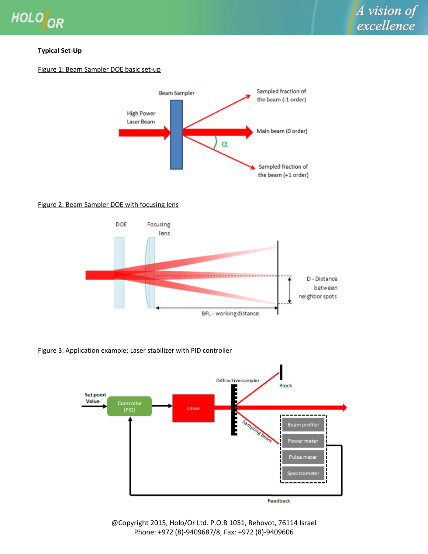

## <span id="page-1-0"></span>**Typical Set-Up**

## Figure 1: Beam Sampler DOE basic set-up



## Figure 2: Beam Sampler DOE with focusing lens



## Figure 3: Application example: Laser stabilizer with PID controller



@Copyright 2015, Holo/Or Ltd. P.O.B 1051, Rehovot, 76114 Israel Phone: +972 (8)-9409687/8, Fax: +972 (8)-9409606